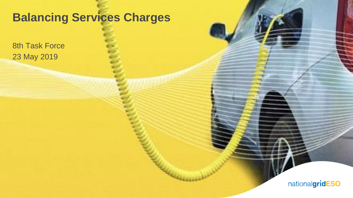### **Balancing Services Charges**

8th Task Force 23 May 2019

nationalgridESO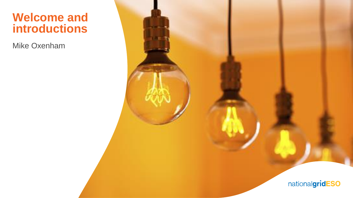### **Welcome and introductions**

Mike Oxenham

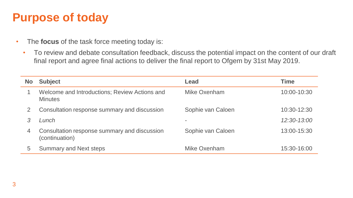### **Purpose of today**

- The **focus** of the task force meeting today is:
	- To review and debate consultation feedback, discuss the potential impact on the content of our draft final report and agree final actions to deliver the final report to Ofgem by 31st May 2019.

| <b>No</b> | <b>Subject</b>                                                  | Lead              | <b>Time</b> |
|-----------|-----------------------------------------------------------------|-------------------|-------------|
|           | Welcome and Introductions; Review Actions and<br><b>Minutes</b> | Mike Oxenham      | 10:00-10:30 |
| 2         | Consultation response summary and discussion                    | Sophie van Caloen | 10:30-12:30 |
|           | Lunch                                                           |                   | 12:30-13:00 |
| 4         | Consultation response summary and discussion<br>(continuation)  | Sophie van Caloen | 13:00-15:30 |
| 5         | <b>Summary and Next steps</b>                                   | Mike Oxenham      | 15:30-16:00 |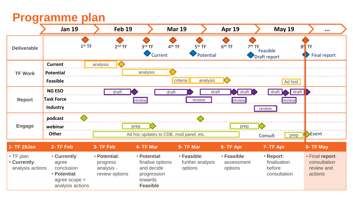### **Programme plan**

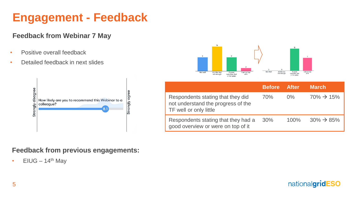# **Engagement - Feedback**

#### **Feedback from Webinar 7 May**

- Positive overall feedback
- Detailed feedback in next slides



#### A good<br>overview, but Not Well A little but A good<br>overview, but<br>a few gaps Not well A Little, but am on top not enough not enough of it a few gaps

|                                                                                                   | Before ' | <b>After</b> | <b>March</b>            |
|---------------------------------------------------------------------------------------------------|----------|--------------|-------------------------|
| Respondents stating that they did<br>not understand the progress of the<br>TF well or only little | 70%      | $0\%$        | $70\% \rightarrow 15\%$ |
| Respondents stating that they had a<br>good overview or were on top of it                         | 30%      | $100\%$      | $30\% \rightarrow 85\%$ |

### **Feedback from previous engagements:**

• EIUG –  $14<sup>th</sup>$  May

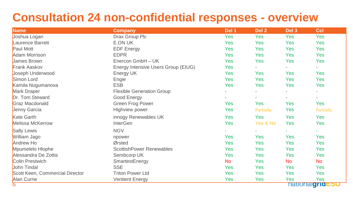### **Consultation 24 non-confidential responses - overview**

| <b>Name</b>                     | <b>Company</b>                      | Del 1     | Del 2      | Del 3     | <b>Ccl</b>                        |
|---------------------------------|-------------------------------------|-----------|------------|-----------|-----------------------------------|
| Joshua Logan                    | Drax Group Plc                      | Yes       | Yes        | Yes       | Yes                               |
| Laurence Barrett                | E.ON UK                             | Yes       | <b>Yes</b> | Yes       | Yes                               |
| Paul Mott                       | <b>EDF Energy</b>                   | Yes       | <b>Yes</b> | Yes       | <b>Yes</b>                        |
| Adam Morrison                   | <b>EDPR</b>                         | Yes       | <b>Yes</b> | Yes       | <b>Yes</b>                        |
| James Brown                     | Enercon GmbH - UK                   | Yes       | <b>Yes</b> | Yes       | <b>Yes</b>                        |
| <b>Frank Aaskov</b>             | Energy Intensive Users Group (EIUG) | Yes       |            |           |                                   |
| Joseph Underwood                | Energy UK                           | Yes       | <b>Yes</b> | Yes       | <b>Yes</b>                        |
| Simon Lord                      | Engie                               | Yes       | <b>Yes</b> | Yes       | <b>Yes</b>                        |
| Kamila Nugumanova               | <b>ESB</b>                          | Yes       | <b>Yes</b> | Yes       | <b>Yes</b>                        |
| Mark Draper                     | <b>Flexible Generation Group</b>    |           |            |           | $\blacksquare$                    |
| Dr. Tom Steward                 | Good Energy                         |           |            |           | $\sim$                            |
| Graz Macdonald                  | Green Frog Power                    | Yes       | <b>Yes</b> | Yes       | Yes                               |
| Jenny Garcia                    | Highview power                      | Yes       | Partially  | Yes       | Partially                         |
| Kate Garth                      | innogy Renewables UK                | Yes       | Yes        | Yes       | Yes                               |
| Melissa McKerrow                | <b>InterGen</b>                     | Yes       | Yes & No   | Yes       | <b>Yes</b>                        |
| Sally Lewis                     | <b>NGV</b>                          |           |            |           | ÷.                                |
| William Jago                    | npower                              | Yes       | Yes        | Yes       | Yes                               |
| Andrew Ho                       | Ørsted                              | Yes       | <b>Yes</b> | Yes       | Yes                               |
| Mpumelelo Hlophe                | <b>ScottishPower Renewables</b>     | Yes       | <b>Yes</b> | Yes       | Yes                               |
| Alessandra De Zottis            | Sembcorp UK                         | Yes       | <b>Yes</b> | Yes       | Yes                               |
| Colin Prestwich                 | SmartestEnergy                      | <b>No</b> | <b>Yes</b> | <b>No</b> | <b>No</b>                         |
| John Tindal                     | <b>SSE</b>                          | Yes       | <b>Yes</b> | Yes       | <b>Yes</b>                        |
| Scott Keen, Commercial Director | <b>Triton Power Ltd</b>             | Yes       | <b>Yes</b> | Yes       | <b>Yes</b>                        |
| Alan Currie                     | <b>Ventient Energy</b>              | Yes       | Yes        | Yes       | Yes                               |
| 6                               |                                     |           |            |           | <b>nationalgrid</b><br><b>290</b> |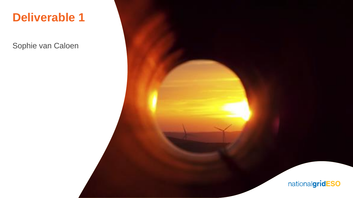### **Deliverable 1**

Sophie van Caloen

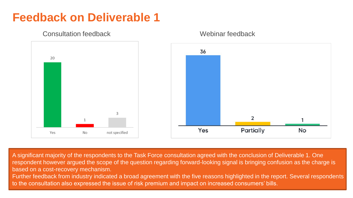

Consultation feedback Webinar feedback

**Feedback on Deliverable 1**

A significant majority of the respondents to the Task Force consultation agreed with the conclusion of Deliverable 1. One respondent however argued the scope of the question regarding forward-looking signal is bringing confusion as the charge is based on a cost-recovery mechanism.

to the consultation also expressed the issue of risk premium and impact on increased consumers' bills. Further feedback from industry indicated a broad agreement with the five reasons highlighted in the report. Several respondents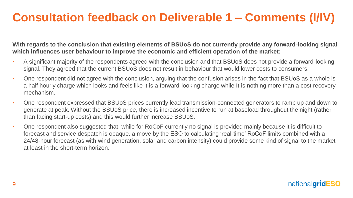### **Consultation feedback on Deliverable 1 – Comments (I/IV)**

**With regards to the conclusion that existing elements of BSUoS do not currently provide any forward-looking signal which influences user behaviour to improve the economic and efficient operation of the market:**

- A significant majority of the respondents agreed with the conclusion and that BSUoS does not provide a forward-looking signal. They agreed that the current BSUoS does not result in behaviour that would lower costs to consumers.
- One respondent did not agree with the conclusion, arguing that the confusion arises in the fact that BSUoS as a whole is a half hourly charge which looks and feels like it is a forward-looking charge while It is nothing more than a cost recovery mechanism.
- One respondent expressed that BSUoS prices currently lead transmission-connected generators to ramp up and down to generate at peak. Without the BSUoS price, there is increased incentive to run at baseload throughout the night (rather than facing start-up costs) and this would further increase BSUoS*.*
- One respondent also suggested that, while for RoCoF currently no signal is provided mainly because it is difficult to forecast and service despatch is opaque. a move by the ESO to calculating 'real-time' RoCoF limits combined with a 24/48-hour forecast (as with wind generation, solar and carbon intensity) could provide some kind of signal to the market at least in the short-term horizon.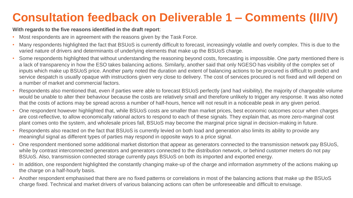# **Consultation feedback on Deliverable 1 – Comments (II/IV)**

#### **With regards to the five reasons identified in the draft report**:

- Most respondents are in agreement with the reasons given by the Task Force.
- Many respondents highlighted the fact that BSUoS is currently difficult to forecast, increasingly volatile and overly complex. This is due to the varied nature of drivers and determinants of underlying elements that make up the BSUoS charge.
- Some respondents highlighted that without understanding the reasoning beyond costs, forecasting is impossible. One party mentioned there is a lack of transparency in how the ESO takes balancing actions. Similarly, another said that only NGESO has visibility of the complex set of inputs which make up BSUoS price. Another party noted the duration and extent of balancing actions to be procured is difficult to predict and service despatch is usually opaque with instructions given very close to delivery. The cost of services procured is not fixed and will depend on a number of market and commercial factors.
- Respondents also mentioned that, even if parties were able to forecast BSUoS perfectly (and had visibility), the majority of chargeable volume would be unable to alter their behaviour because the costs are relatively small and therefore unlikely to trigger any response. It was also noted that the costs of actions may be spread across a number of half-hours, hence will not result in a noticeable peak in any given period.
- One respondent however highlighted that, while BSUoS costs are smaller than market prices, best economic outcomes occur when charges are cost-reflective, to allow economically rational actors to respond to each of these signals. They explain that, as more zero-marginal cost plant comes onto the system, and wholesale prices fall, BSUoS may become the marginal price signal in decision-making in future.
- Respondents also reacted on the fact that BSUoS is currently levied on both load and generation also limits its ability to provide any meaningful signal as different types of parties may respond in opposite ways to a price signal.
- One respondent mentioned some additional market distortion that appear as generators connected to the transmission network pay BSUoS, while by contrast interconnected generators and generators connected to the distribution network, or behind customer meters do not pay BSUoS. Also, transmission connected storage currently pays BSUoS on both its imported and exported energy.
- In addition, one respondent highlighted the constantly changing make-up of the charge and information asymmetry of the actions making up the charge on a half-hourly basis.
- Another respondent emphasised that there are no fixed patterns or correlations in most of the balancing actions that make up the BSUoS charge fixed. Technical and market drivers of various balancing actions can often be unforeseeable and difficult to envisage.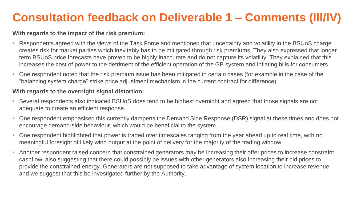# **Consultation feedback on Deliverable 1 – Comments (III/IV)**

#### **With regards to the impact of the risk premium:**

- Respondents agreed with the views of the Task Force and mentioned that uncertainty and volatility in the BSUoS charge creates risk for market parties which inevitably has to be mitigated through risk premiums. They also expressed that longer term BSUoS price forecasts have proven to be highly inaccurate and do not capture its volatility. They explained that this increases the cost of power to the detriment of the efficient operation of the GB system and inflating bills for consumers.
- One respondent noted that the risk premium issue has been mitigated in certain cases (for example in the case of the "balancing system charge" strike price adjustment mechanism in the current contract for difference).

#### **With regards to the overnight signal distortion:**

- Several respondents also indicated BSUoS does tend to be highest overnight and agreed that those signals are not adequate to create an efficient response.
- One respondent emphasised this currently dampens the Demand Side Response (DSR) signal at these times and does not encourage demand-side behaviour, which would be beneficial to the system.
- One respondent highlighted that power is traded over timescales ranging from the year ahead up to real time, with no meaningful foresight of likely wind output at the point of delivery for the majority of the trading window.
- Another respondent raised concern that constrained generators may be increasing their offer prices to increase constraint cashflow, also suggesting that there could possibly be issues with other generators also increasing their bid prices to provide the constrained energy. Generators are not supposed to take advantage of system location to increase revenue and we suggest that this be investigated further by the Authority.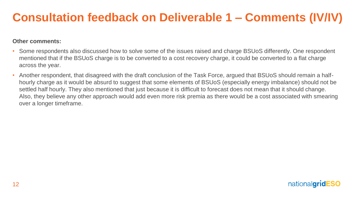### **Consultation feedback on Deliverable 1 – Comments (IV/IV)**

#### **Other comments:**

- Some respondents also discussed how to solve some of the issues raised and charge BSUoS differently. One respondent mentioned that if the BSUoS charge is to be converted to a cost recovery charge, it could be converted to a flat charge across the year.
- Another respondent, that disagreed with the draft conclusion of the Task Force, argued that BSUoS should remain a halfhourly charge as it would be absurd to suggest that some elements of BSUoS (especially energy imbalance) should not be settled half hourly. They also mentioned that just because it is difficult to forecast does not mean that it should change. Also, they believe any other approach would add even more risk premia as there would be a cost associated with smearing over a longer timeframe.

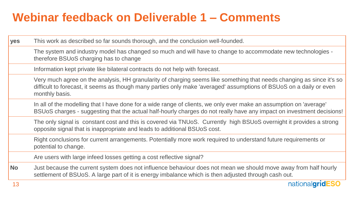## **Webinar feedback on Deliverable 1 – Comments**

| yes       | This work as described so far sounds thorough, and the conclusion well-founded.                                                                                                                                                                                |
|-----------|----------------------------------------------------------------------------------------------------------------------------------------------------------------------------------------------------------------------------------------------------------------|
|           | The system and industry model has changed so much and will have to change to accommodate new technologies -<br>therefore BSUoS charging has to change                                                                                                          |
|           | Information kept private like bilateral contracts do not help with forecast.                                                                                                                                                                                   |
|           | Very much agree on the analysis, HH granularity of charging seems like something that needs changing as since it's so<br>difficult to forecast, it seems as though many parties only make 'averaged' assumptions of BSUoS on a daily or even<br>monthly basis. |
|           | In all of the modelling that I have done for a wide range of clients, we only ever make an assumption on 'average'<br>BSUoS charges - suggesting that the actual half-hourly charges do not really have any impact on investment decisions!                    |
|           | The only signal is constant cost and this is covered via TNUoS. Currently high BSUoS overnight it provides a strong<br>opposite signal that is inappropriate and leads to additional BSUoS cost.                                                               |
|           | Right conclusions for current arrangements. Potentially more work required to understand future requirements or<br>potential to change.                                                                                                                        |
|           | Are users with large infeed losses getting a cost reflective signal?                                                                                                                                                                                           |
| <b>No</b> | Just because the current system does not influence behaviour does not mean we should move away from half hourly<br>settlement of BSUoS. A large part of it is energy imbalance which is then adjusted through cash out.                                        |
| 13        | nationalgridESO                                                                                                                                                                                                                                                |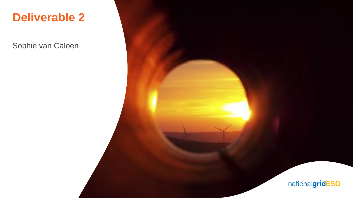### **Deliverable 2**

Sophie van Caloen

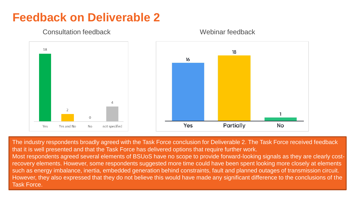### **Feedback on Deliverable 2**



Consultation feedback Webinar feedback

Task Force. The industry respondents broadly agreed with the Task Force conclusion for Deliverable 2. The Task Force received feedback that it is well presented and that the Task Force has delivered options that require further work. Most respondents agreed several elements of BSUoS have no scope to provide forward-looking signals as they are clearly costrecovery elements. However, some respondents suggested more time could have been spent looking more closely at elements such as energy imbalance, inertia, embedded generation behind constraints, fault and planned outages of transmission circuit. However, they also expressed that they do not believe this would have made any significant difference to the conclusions of the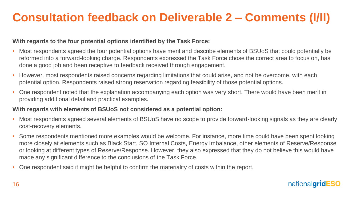# **Consultation feedback on Deliverable 2 – Comments (I/II)**

#### **With regards to the four potential options identified by the Task Force:**

- Most respondents agreed the four potential options have merit and describe elements of BSUoS that could potentially be reformed into a forward-looking charge. Respondents expressed the Task Force chose the correct area to focus on, has done a good job and been receptive to feedback received through engagement.
- However, most respondents raised concerns regarding limitations that could arise, and not be overcome, with each potential option. Respondents raised strong reservation regarding feasibility of those potential options.
- One respondent noted that the explanation accompanying each option was very short. There would have been merit in providing additional detail and practical examples.

#### **With regards with elements of BSUoS not considered as a potential option:**

- Most respondents agreed several elements of BSUoS have no scope to provide forward-looking signals as they are clearly cost-recovery elements.
- Some respondents mentioned more examples would be welcome. For instance, more time could have been spent looking more closely at elements such as Black Start, SO Internal Costs, Energy Imbalance, other elements of Reserve/Response or looking at different types of Reserve/Response. However, they also expressed that they do not believe this would have made any significant difference to the conclusions of the Task Force.
- One respondent said it might be helpful to confirm the materiality of costs within the report.

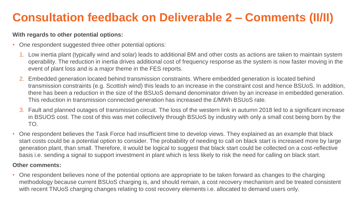# **Consultation feedback on Deliverable 2 – Comments (II/II)**

#### **With regards to other potential options:**

- One respondent suggested three other potential options:
	- 1. Low inertia plant (typically wind and solar) leads to additional BM and other costs as actions are taken to maintain system operability. The reduction in inertia drives additional cost of frequency response as the system is now faster moving in the event of plant loss and is a major theme in the FES reports.
	- 2. Embedded generation located behind transmission constraints. Where embedded generation is located behind transmission constraints (e.g. Scottish wind) this leads to an increase in the constraint cost and hence BSUoS. In addition, there has been a reduction in the size of the BSUoS demand denominator driven by an increase in embedded generation. This reduction in transmission connected generation has increased the £/MWh BSUoS rate.
	- 3. Fault and planned outages of transmission circuit. The loss of the western link in autumn 2018 led to a significant increase in BSUOS cost. The cost of this was met collectively through BSUoS by industry with only a small cost being born by the TO.
- One respondent believes the Task Force had insufficient time to develop views. They explained as an example that black start costs could be a potential option to consider. The probability of needing to call on black start is increased more by large generation plant, than small. Therefore, it would be logical to suggest that black start could be collected on a cost-reflective basis i.e. sending a signal to support investment in plant which is less likely to risk the need for calling on black start.

#### **Other comments:**

• One respondent believes none of the potential options are appropriate to be taken forward as changes to the charging methodology because current BSUoS charging is, and should remain, a cost recovery mechanism and be treated consistent with recent TNUoS charging changes relating to cost recovery elements i.e. allocated to demand users only.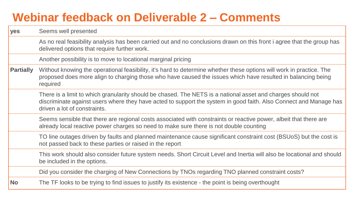### **Webinar feedback on Deliverable 2 – Comments**

| yes              | Seems well presented                                                                                                                                                                                                                                             |
|------------------|------------------------------------------------------------------------------------------------------------------------------------------------------------------------------------------------------------------------------------------------------------------|
|                  | As no real feasibility analysis has been carried out and no conclusions drawn on this front i agree that the group has<br>delivered options that require further work.                                                                                           |
|                  | Another possibility is to move to locational marginal pricing                                                                                                                                                                                                    |
| <b>Partially</b> | Without knowing the operational feasibility, it's hard to determine whether these options will work in practice. The<br>proposed does more align to charging those who have caused the issues which have resulted in balancing being<br>required                 |
|                  | There is a limit to which granularity should be chased. The NETS is a national asset and charges should not<br>discriminate against users where they have acted to support the system in good faith. Also Connect and Manage has<br>driven a lot of constraints. |
|                  | Seems sensible that there are regional costs associated with constraints or reactive power, albeit that there are<br>already local reactive power charges so need to make sure there is not double counting                                                      |
|                  | TO line outages driven by faults and planned maintenance cause significant constraint cost (BSUoS) but the cost is<br>not passed back to these parties or raised in the report                                                                                   |
|                  | This work should also consider future system needs. Short Circuit Level and Inertia will also be locational and should<br>be included in the options.                                                                                                            |
|                  | Did you consider the charging of New Connections by TNOs regarding TNO planned constraint costs?                                                                                                                                                                 |
| <b>No</b>        | The TF looks to be trying to find issues to justify its existence - the point is being overthought                                                                                                                                                               |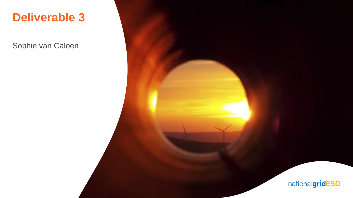### **Deliverable 3**

Sophie van Caloen

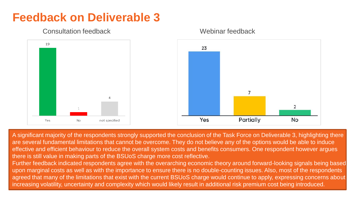

#### Consultation feedback Webinar feedback

**Feedback on Deliverable 3**

A significant majority of the respondents strongly supported the conclusion of the Task Force on Deliverable 3, highlighting there are several fundamental limitations that cannot be overcome. They do not believe any of the options would be able to induce effective and efficient behaviour to reduce the overall system costs and benefits consumers. One respondent however argues there is still value in making parts of the BSUoS charge more cost reflective.

increasing volatility, uncertainty and complexity which would likely result in additional risk premium cost being introduced. Further feedback indicated respondents agree with the overarching economic theory around forward-looking signals being based upon marginal costs as well as with the importance to ensure there is no double-counting issues. Also, most of the respondents agreed that many of the limitations that exist with the current BSUoS charge would continue to apply, expressing concerns about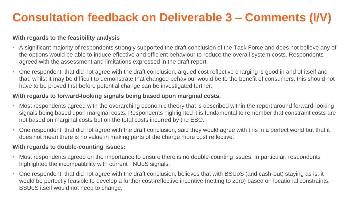# **Consultation feedback on Deliverable 3 – Comments (I/V)**

#### **With regards to the feasibility analysis**

- A significant majority of respondents strongly supported the draft conclusion of the Task Force and does not believe any of the options would be able to induce effective and efficient behaviour to reduce the overall system costs. Respondents agreed with the assessment and limitations expressed in the draft report.
- One respondent, that did not agree with the draft conclusion, argued cost reflective charging is good in and of itself and that, whilst it may be difficult to demonstrate that changed behaviour would be to the benefit of consumers, this should not have to be proved first before potential change can be investigated further.

#### **With regards to forward-looking signals being based upon marginal costs.**

- Most respondents agreed with the overarching economic theory that is described within the report around forward-looking signals being based upon marginal costs. Respondents highlighted it is fundamental to remember that constraint costs are not based on marginal costs but on the total costs incurred by the ESO.
- One respondent, that did not agree with the draft conclusion, said they would agree with this in a perfect world but that it does not mean there is no value in making parts of the charge more cost reflective.

#### **With regards to double-counting issues:**

- Most respondents agreed on the importance to ensure there is no double-counting issues. In particular, respondents highlighted the incompatibility with current TNUoS signals.
- One respondent, that did not agree with the draft conclusion, believes that with BSUoS (and cash-out) staying as is, it would be perfectly feasible to develop a further cost-reflective incentive (netting to zero) based on locational constraints. BSUoS itself would not need to change.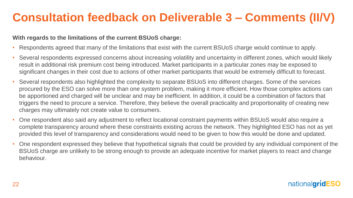# **Consultation feedback on Deliverable 3 – Comments (II/V)**

#### **With regards to the limitations of the current BSUoS charge:**

- Respondents agreed that many of the limitations that exist with the current BSUoS charge would continue to apply.
- Several respondents expressed concerns about increasing volatility and uncertainty in different zones, which would likely result in additional risk premium cost being introduced. Market participants in a particular zones may be exposed to significant changes in their cost due to actions of other market participants that would be extremely difficult to forecast.
- Several respondents also highlighted the complexity to separate BSUoS into different charges. Some of the services procured by the ESO can solve more than one system problem, making it more efficient. How those complex actions can be apportioned and charged will be unclear and may be inefficient. In addition, it could be a combination of factors that triggers the need to procure a service. Therefore, they believe the overall practicality and proportionality of creating new charges may ultimately not create value to consumers.
- One respondent also said any adjustment to reflect locational constraint payments within BSUoS would also require a complete transparency around where these constraints existing across the network. They highlighted ESO has not as yet provided this level of transparency and considerations would need to be given to how this would be done and updated.
- One respondent expressed they believe that hypothetical signals that could be provided by any individual component of the BSUoS charge are unlikely to be strong enough to provide an adequate incentive for market players to react and change behaviour.

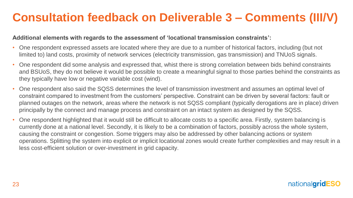## **Consultation feedback on Deliverable 3 – Comments (III/V)**

#### **Additional elements with regards to the assessment of 'locational transmission constraints':**

- One respondent expressed assets are located where they are due to a number of historical factors, including (but not limited to) land costs, proximity of network services (electricity transmission, gas transmission) and TNUoS signals.
- One respondent did some analysis and expressed that, whist there is strong correlation between bids behind constraints and BSUoS, they do not believe it would be possible to create a meaningful signal to those parties behind the constraints as they typically have low or negative variable cost (wind).
- One respondent also said the SQSS determines the level of transmission investment and assumes an optimal level of constraint compared to investment from the customers' perspective. Constraint can be driven by several factors: fault or planned outages on the network, areas where the network is not SQSS compliant (typically derogations are in place) driven principally by the connect and manage process and constraint on an intact system as designed by the SQSS.
- One respondent highlighted that it would still be difficult to allocate costs to a specific area. Firstly, system balancing is currently done at a national level. Secondly, it is likely to be a combination of factors, possibly across the whole system, causing the constraint or congestion. Some triggers may also be addressed by other balancing actions or system operations. Splitting the system into explicit or implicit locational zones would create further complexities and may result in a less cost-efficient solution or over-investment in grid capacity.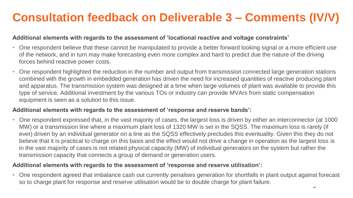# **Consultation feedback on Deliverable 3 – Comments (IV/V)**

#### **Additional elements with regards to the assessment of 'locational reactive and voltage constraints'**

- One respondent believe that these cannot be manipulated to provide a better forward looking signal or a more efficient use of the network, and in turn may make forecasting even more complex and hard to predict due the nature of the driving forces behind reactive power costs.
- One respondent highlighted the reduction in the number and output from transmission connected large generation stations combined with the growth in embedded generation has driven the need for increased quantities of reactive producing plant and apparatus. The transmission system was designed at a time when large volumes of plant was available to provide this type of service. Additional investment by the various TOs or industry can provide MVArs from static compensation equipment is seen as a solution to this issue.

#### **Additional elements with regards to the assessment of 'response and reserve bands':**

• One respondent expressed that, in the vast majority of cases, the largest loss is driven by either an interconnector (at 1000 MW) or a transmission line where a maximum plant loss of 1320 MW is set in the SQSS. The maximum loss is rarely (if ever) driven by an individual generator on a line as the SQSS effectively precludes this eventuality. Given this they do not believe that it is practical to charge on this basis and the effect would not drive a change in operation as the largest loss is in the vast majority of cases is not related physical capacity (MW) of individual generators on the system but rather the transmission capacity that connects a group of demand or generation users.

#### **Additional elements with regards to the assessment of 'response and reserve utilisation':**

• One respondent agreed that imbalance cash out currently penalises generation for shortfalls in plant output against forecast so to charge plant for response and reserve utilisation would be to double charge for plant failure.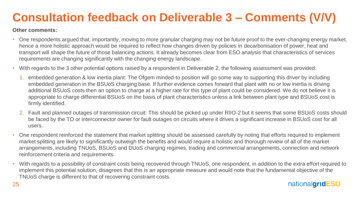# **Consultation feedback on Deliverable 3 – Comments (V/V)**

#### **Other comments:**

- One respondents argued that, importantly, moving to more granular charging may not be future proof to the ever-changing energy market, hence a more holistic approach would be required to reflect how changes driven by policies in decarbonisation of power, heat and transport will shape the future of those balancing actions. It already becomes clear from ESO analysis that characteristics of services requirements are changing significantly with the changing energy landscape.
- With regards to the 3 other potential options raised by a respondent in Deliverable 2, the following assessment was provided:
	- 1. embedded generation & low inertia plant: The Ofgem minded-to position will go some way to supporting this driver by including embedded generation in the BSUoS charging base. If further evidence comes forward that plant with no or low inertia is driving additional BSUoS costs then an option to charge at a higher rate for this type of plant could be considered. We do not believe it is appropriate to charge differential BSUoS on the basis of plant characteristics unless a link between plant type and BSUoS cost is firmly identified.
	- 2. Fault and planned outages of transmission circuit: This should be picked up under RIIO-2 but it seems that some BSUoS costs should be faced by the TO or interconnector owner for fault outages on circuits where it drives a significant increase in BSUoS cost for all users.
- One respondent reinforced the statement that market splitting should be assessed carefully by noting that efforts required to implement market splitting are likely to significantly outweigh the benefits and would require a holistic and thorough review of all of the market arrangements, including TNUoS, BSUoS and DUoS charging regimes, trading and commercial arrangements, connection and network reinforcement criteria and requirements.
- With regards to a possibility of constraint costs being recovered through TNUoS, one respondent, in addition to the extra effort required to implement this potential solution, disagrees that this is an appropriate measure and would note that the fundamental objective of the TNUoS charge is different to that of recovering constraint costs.

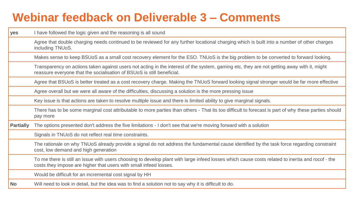### **Webinar feedback on Deliverable 3 – Comments**

| yes              | I have followed the logic given and the reasoning is all sound                                                                                                                                                        |
|------------------|-----------------------------------------------------------------------------------------------------------------------------------------------------------------------------------------------------------------------|
|                  | Agree that double charging needs continued to be reviewed for any further locational charging which is built into a number of other charges<br>including TNUoS.                                                       |
|                  | Makes sense to keep BSUoS as a small cost recovery element for the ESO. TNUoS is the big problem to be converted to forward looking.                                                                                  |
|                  | Transparency on actions taken against users not acting in the interest of the system, gaming etc, they are not getting away with it, might<br>reassure everyone that the socialisation of BSUoS is still beneficial.  |
|                  | Agree that BSUoS is better treated as a cost recovery charge. Making the TNUoS forward looking signal stronger would be far more effective                                                                            |
|                  | Agree overall but we were all aware of the difficulties, discussing a solution is the more pressing issue                                                                                                             |
|                  | Key issue is that actions are taken to resolve multiple issue and there is limited ability to give marginal signals.                                                                                                  |
|                  | There has to be some marginal cost attributable to more parties than others - That its too difficult to forecast is part of why these parties should<br>pay more                                                      |
| <b>Partially</b> | The options presented don't address the five limitations - I don't see that we're moving forward with a solution                                                                                                      |
|                  | Signals in TNUoS do not reflect real time constraints.                                                                                                                                                                |
|                  | The rationale on why TNUoS already provide a signal do not address the fundamental cause identified by the task force regarding constraint<br>cost, low demand and high generation                                    |
|                  | To me there is still an issue with users choosing to develop plant with large infeed losses which cause costs related to inertia and rocof - the<br>costs they impose are higher that users with small infeed losses. |
|                  | Would be difficult for an incremental cost signal by HH                                                                                                                                                               |
| <b>No</b>        | Will need to look in detail, but the idea was to find a solution not to say why it is difficult to do.                                                                                                                |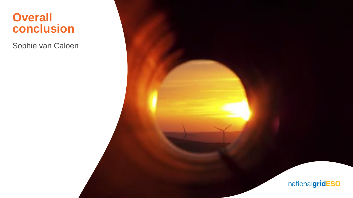### **Overall conclusion**

Sophie van Caloen

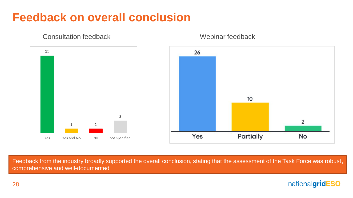### **Feedback on overall conclusion**



Consultation feedback Webinar feedback

Feedback from the industry broadly supported the overall conclusion, stating that the assessment of the Task Force was robust, comprehensive and well-documented

### nationalgridESO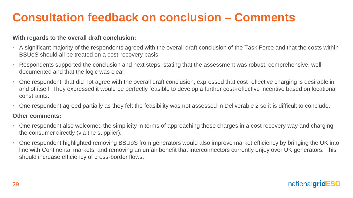# **Consultation feedback on conclusion – Comments**

#### **With regards to the overall draft conclusion:**

- A significant majority of the respondents agreed with the overall draft conclusion of the Task Force and that the costs within BSUoS should all be treated on a cost-recovery basis.
- Respondents supported the conclusion and next steps, stating that the assessment was robust, comprehensive, welldocumented and that the logic was clear.
- One respondent, that did not agree with the overall draft conclusion, expressed that cost reflective charging is desirable in and of itself. They expressed it would be perfectly feasible to develop a further cost-reflective incentive based on locational constraints.
- One respondent agreed partially as they felt the feasibility was not assessed in Deliverable 2 so it is difficult to conclude.

#### **Other comments:**

- One respondent also welcomed the simplicity in terms of approaching these charges in a cost recovery way and charging the consumer directly (via the supplier).
- One respondent highlighted removing BSUoS from generators would also improve market efficiency by bringing the UK into line with Continental markets, and removing an unfair benefit that interconnectors currently enjoy over UK generators. This should increase efficiency of cross-border flows.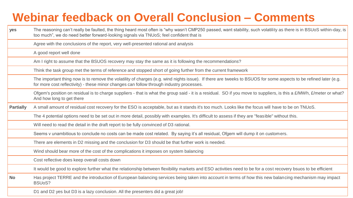## **Webinar feedback on Overall Conclusion – Comments**

| yes              | The reasoning can't really be faulted, the thing heard most often is "why wasn't CMP250 passed, want stability, such volatility as there is in BSUoS within-day, is<br>too much", we do need better forward-looking signals via TNUoS; feel confident that is |
|------------------|---------------------------------------------------------------------------------------------------------------------------------------------------------------------------------------------------------------------------------------------------------------|
|                  | Agree with the conclusions of the report, very well-presented rational and analysis                                                                                                                                                                           |
|                  | A good report well done                                                                                                                                                                                                                                       |
|                  | Am I right to assume that the BSUOS recovery may stay the same as it is following the recommendations?                                                                                                                                                        |
|                  | Think the task group met the terms of reference and stopped short of going further from the current framework                                                                                                                                                 |
|                  | The important thing now is to remove the volatility of charges (e.g. wind nights issue). If there are tweeks to BSUOS for some aspects to be refined later (e.g.<br>for more cost reflectivity) - these minor changes can follow through industry processes.  |
|                  | Ofgem's position on residual is to charge suppliers - that is what the group said - it is a residual. SO if you move to suppliers, is this a £/MWh, £/meter or what?<br>And how long to get there                                                             |
| <b>Partially</b> | A small amount of residual cost recovery for the ESO is acceptable, but as it stands it's too much. Looks like the focus will have to be on TNUoS.                                                                                                            |
|                  | The 4 potential options need to be set out in more detail, possibly with examples. It's difficult to assess if they are "feasible" without this.                                                                                                              |
|                  | Will need to read the detail in the draft report to be fully convinced of D3 rational.                                                                                                                                                                        |
|                  | Seems v unambitious to conclude no costs can be made cost related. By saying it's all residual, Ofgem will dump it on customers.                                                                                                                              |
|                  | There are elements in D2 missing and the conclusion for D3 should be that further work is needed.                                                                                                                                                             |
|                  | Wind should bear more of the cost of the complications it imposes on system balancing                                                                                                                                                                         |
|                  | Cost reflective does keep overall costs down                                                                                                                                                                                                                  |
|                  | It would be good to explore further what the relationship between flexibility markets and ESO activities need to be for a cost recovery bsuos to be efficient                                                                                                 |
| No               | Has project TERRE and the introduction of European balancing services being taken into account in terms of how this new balancing mechanism may impact<br>BSUoS?                                                                                              |
|                  | D1 and D2 yes but D3 is a lazy conclusion. All the presenters did a great job!                                                                                                                                                                                |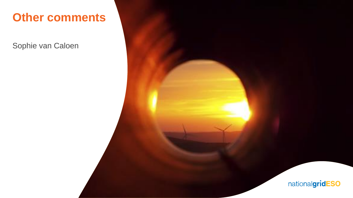### **Other comments**

Sophie van Caloen



nationalgridESO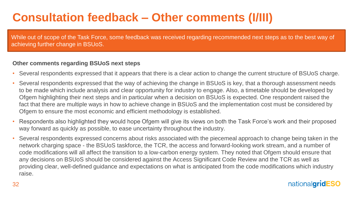# **Consultation feedback – Other comments (I/III)**

While out of scope of the Task Force, some feedback was received regarding recommended next steps as to the best way of achieving further change in BSUoS.

#### **Other comments regarding BSUoS next steps**

- Several respondents expressed that it appears that there is a clear action to change the current structure of BSUoS charge.
- Several respondents expressed that the way of achieving the change in BSUoS is key, that a thorough assessment needs to be made which include analysis and clear opportunity for industry to engage. Also, a timetable should be developed by Ofgem highlighting their next steps and in particular when a decision on BSUoS is expected. One respondent raised the fact that there are multiple ways in how to achieve change in BSUoS and the implementation cost must be considered by Ofgem to ensure the most economic and efficient methodology is established.
- Respondents also highlighted they would hope Ofgem will give its views on both the Task Force's work and their proposed way forward as quickly as possible, to ease uncertainty throughout the industry.
- Several respondents expressed concerns about risks associated with the piecemeal approach to change being taken in the network charging space - the BSUoS taskforce, the TCR, the access and forward-looking work stream, and a number of code modifications will all affect the transition to a low-carbon energy system. They noted that Ofgem should ensure that any decisions on BSUoS should be considered against the Access Significant Code Review and the TCR as well as providing clear, well-defined guidance and expectations on what is anticipated from the code modifications which industry raise.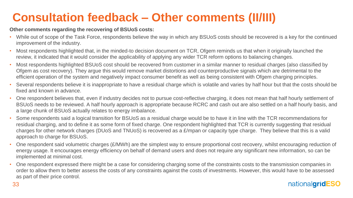# **Consultation feedback – Other comments (II/III)**

#### **Other comments regarding the recovering of BSUoS costs:**

- While out of scope of the Task Force, respondents believe the way in which any BSUoS costs should be recovered is a key for the continued improvement of the industry.
- Most respondents highlighted that, in the minded-to decision document on TCR, Ofgem reminds us that when it originally launched the review, it indicated that it would consider the applicability of applying any wider TCR reform options to balancing changes.
- Most respondents highlighted BSUoS cost should be recovered from customer in a similar manner to residual charges (also classified by Ofgem as cost recovery). They argue this would remove market distortions and counterproductive signals which are detrimental to the efficient operation of the system and negatively impact consumer benefit as well as being consistent with Ofgem charging principles.
- Several respondents believe it is inappropriate to have a residual charge which is volatile and varies by half hour but that the costs should be fixed and known in advance.
- One respondent believes that, even if industry decides not to pursue cost-reflective charging, it does not mean that half hourly settlement of BSUoS needs to be reviewed. A half hourly approach is appropriate because RCRC and cash out are also settled on a half hourly basis, and a large chunk of BSUoS actually relates to energy imbalance.
- Some respondents said a logical transition for BSUoS as a residual charge would be to have it in line with the TCR recommendations for residual charging, and to define it as some form of fixed charge. One respondent highlighted that TCR is currently suggesting that residual charges for other network charges (DUoS and TNUoS) is recovered as a £/mpan or capacity type charge. They believe that this is a valid approach to charge for BSUoS.
- One respondent said volumetric charges (£/MWh) are the simplest way to ensure proportional cost recovery, whilst encouraging reduction of energy usage. It encourages energy efficiency on behalf of demand users and does not require any significant new information, so can be implemented at minimal cost.
- One respondent expressed there might be a case for considering charging some of the constraints costs to the transmission companies in order to allow them to better assess the costs of any constraints against the costs of investments. However, this would have to be assessed as part of their price control.

### nationalaridESO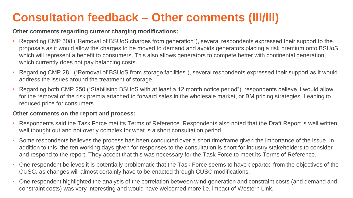# **Consultation feedback – Other comments (III/III)**

**Other comments regarding current charging modifications:**

- Regarding CMP 308 ("Removal of BSUoS charges from generation"), several respondents expressed their support to the proposals as it would allow the charges to be moved to demand and avoids generators placing a risk premium onto BSUoS, which will represent a benefit to consumers. This also allows generators to compete better with continental generation, which currently does not pay balancing costs.
- Regarding CMP 281 ("Removal of BSUoS from storage facilities"), several respondents expressed their support as it would address the issues around the treatment of storage.
- Regarding both CMP 250 ("Stabilising BSUoS with at least a 12 month notice period"), respondents believe it would allow for the removal of the risk premia attached to forward sales in the wholesale market, or BM pricing strategies. Leading to reduced price for consumers.

#### **Other comments on the report and process:**

- Respondents said the Task Force met its Terms of Reference. Respondents also noted that the Draft Report is well written, well thought out and not overly complex for what is a short consultation period.
- Some respondents believes the process has been conducted over a short timeframe given the importance of the issue. In addition to this, the ten working days given for responses to the consultation is short for industry stakeholders to consider and respond to the report. They accept that this was necessary for the Task Force to meet its Terms of Reference.
- One respondent believes it is potentially problematic that the Task Force seems to have departed from the objectives of the CUSC, as changes will almost certainly have to be enacted through CUSC modifications.
- 34 • One respondent highlighted the analysis of the correlation between wind generation and constraint costs (and demand and constraint costs) was very interesting and would have welcomed more i.e. impact of Western Link.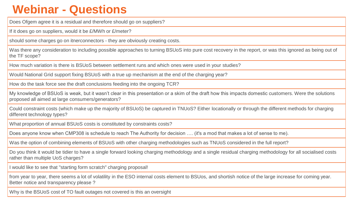### **Webinar - Questions**

Does Ofgem agree it is a residual and therefore should go on suppliers?

If it does go on suppliers, would it be £/MWh or £/meter?

should some charges go on itnerconnectors - they are obviously creating costs.

Was there any consideration to including possible approaches to turning BSUoS into pure cost recovery in the report, or was this ignored as being out of the TF scope?

How much variation is there is BSUoS between settlement runs and which ones were used in your studies?

Would National Grid support fixing BSUoS with a true up mechanism at the end of the charging year?

How do the task force see the draft conclusions feeding into the ongoing TCR?

My knowledge of BSUoS is weak, but it wasn't clear in this presentation or a skim of the draft how this impacts domestic customers. Were the solutions proposed all aimed at large consumers/generators?

Could constraint costs (which make up the majority of BSUoS) be captured in TNUoS? Either locationally or through the different methods for charging different technology types?

What proportion of annual BSUoS costs is constituted by constraints costs?

Does anyone know when CMP308 is schedule to reach The Authority for decision …. (it's a mod that makes a lot of sense to me).

Was the option of combining elements of BSUoS with other charging methodologies such as TNUoS considered in the full report?

Do you think it would be tidier to have a single forward looking charging methodology and a single residual charging methodology for all socialised costs rather than multiple UoS charges?

I would like to see that "starting form scratch" charging proposal!

Better notice and transparency please? from year to year, there seems a lot of volatility in the ESO internal costs element to BSUos, and shortish notice of the large increase for coming year.

Why is the BSUoS cost of TO fault outages not covered is this an oversight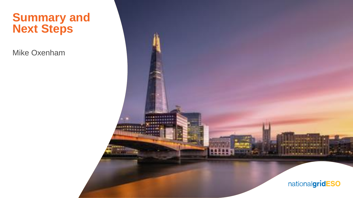### **Summary and Next Steps**

Mike Oxenham

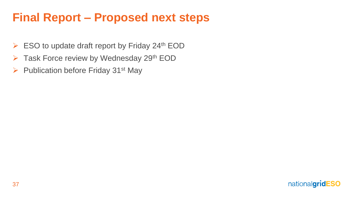### **Final Report – Proposed next steps**

- $\triangleright$  ESO to update draft report by Friday 24<sup>th</sup> EOD
- $\triangleright$  Task Force review by Wednesday 29<sup>th</sup> EOD
- $\triangleright$  Publication before Friday 31<sup>st</sup> May